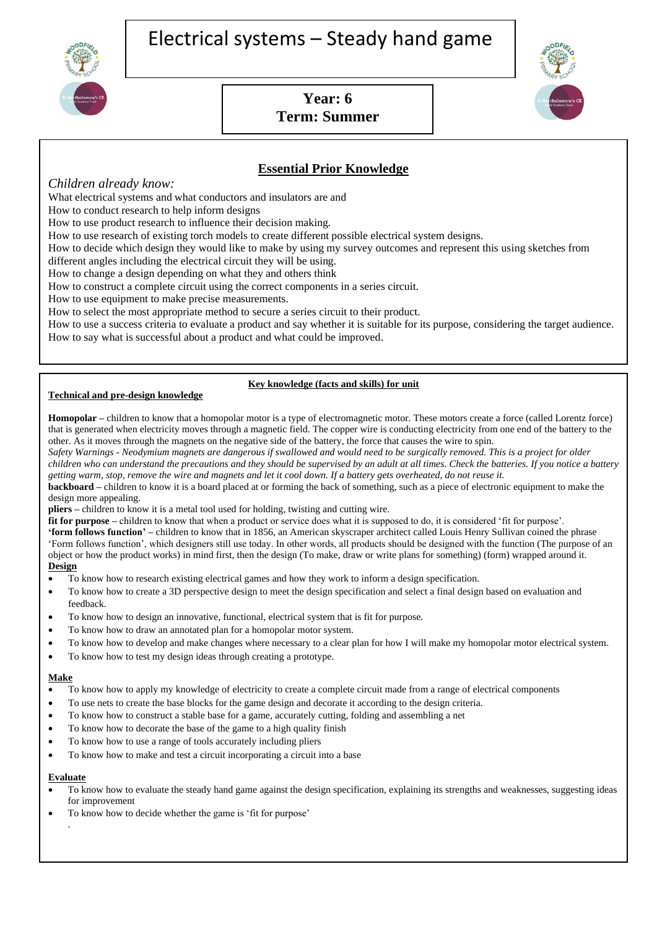



# **Year: 6 Term: Summer**



# **Essential Prior Knowledge**

## *Children already know:*

What electrical systems and what conductors and insulators are and

How to conduct research to help inform designs

How to use product research to influence their decision making.

How to use research of existing torch models to create different possible electrical system designs.

How to decide which design they would like to make by using my survey outcomes and represent this using sketches from different angles including the electrical circuit they will be using.

How to change a design depending on what they and others think

How to construct a complete circuit using the correct components in a series circuit.

How to use equipment to make precise measurements.

How to select the most appropriate method to secure a series circuit to their product.

How to use a success criteria to evaluate a product and say whether it is suitable for its purpose, considering the target audience. How to say what is successful about a product and what could be improved.

#### **Key knowledge (facts and skills) for unit**

#### **Technical and pre-design knowledge**

**Homopolar –** children to know that a homopolar motor is a type of electromagnetic motor. These motors create a force (called Lorentz force) that is generated when electricity moves through a magnetic field. The copper wire is conducting electricity from one end of the battery to the other. As it moves through the magnets on the negative side of the battery, the force that causes the wire to spin.

*Safety Warnings - Neodymium magnets are dangerous if swallowed and would need to be surgically removed. This is a project for older children who can understand the precautions and they should be supervised by an adult at all times. Check the batteries. If you notice a battery getting warm, stop, remove the wire and magnets and let it cool down. If a battery gets overheated, do not reuse it.*

**backboard –** children to know it is a board placed at or forming the back of something, such as a piece of electronic equipment to make the design more appealing.

**pliers –** children to know it is a metal tool used for holding, twisting and cutting wire.

**fit for purpose** – children to know that when a product or service does what it is supposed to do, it is considered 'fit for purpose'.

**'form follows function' –** children to know that in 1856, an American skyscraper architect called Louis Henry Sullivan coined the phrase 'Form follows function', which designers still use today. In other words, all products should be designed with the [function](https://www.kapowprimary.com/glossary/function-4/) (The purpose of an object or how the product works) in mind first, then the [design](https://www.kapowprimary.com/glossary/design/) (To make, draw or write plans for something) (form) wrapped around it. **Design**

- To know how to research existing electrical games and how they work to inform a design specification.
- To know how to create a 3D perspective design to meet the design specification and select a final design based on evaluation and feedback.
- To know how to design an innovative, functional, electrical system that is fit for purpose.
- To know how to draw an annotated plan for a homopolar motor system.
- To know how to develop and make changes where necessary to a clear plan for how I will make my homopolar motor electrical system.
- To know how to test my design ideas through creating a prototype.

#### **Make**

- To know how to apply my knowledge of electricity to create a complete circuit made from a range of electrical components
- To use nets to create the base blocks for the game design and decorate it according to the design criteria.
- To know how to construct a stable base for a game, accurately cutting, folding and assembling a net
- To know how to decorate the base of the game to a high quality finish
- To know how to use a range of tools accurately including pliers
- To know how to make and test a circuit incorporating a circuit into a base

#### **Evaluate**

.

- To know how to evaluate the steady hand game against the design specification, explaining its strengths and weaknesses, suggesting ideas for improvement
- To know how to decide whether the game is 'fit for purpose'